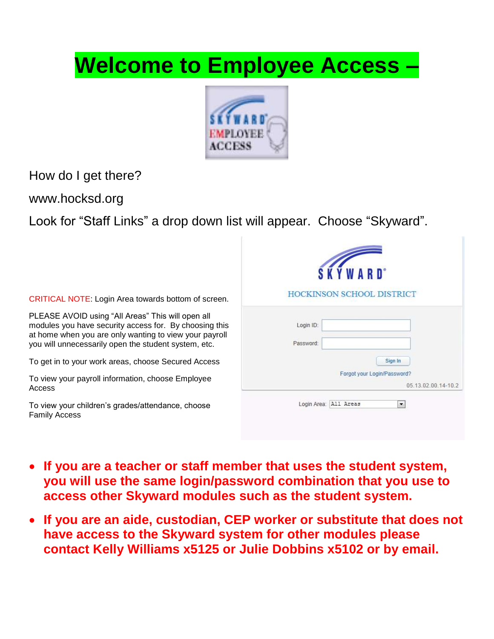# **Welcome to Employee Access –**



How do I get there?

www.hocksd.org

Look for "Staff Links" a drop down list will appear. Choose "Skyward".

| <b>CRITICAL NOTE: Login Area towards bottom of screen.</b>                                                                                                                                                                    | <b>HOCKINSON SCHOOL DISTRICT</b>                   |
|-------------------------------------------------------------------------------------------------------------------------------------------------------------------------------------------------------------------------------|----------------------------------------------------|
| PLEASE AVOID using "All Areas" This will open all<br>modules you have security access for. By choosing this<br>at home when you are only wanting to view your payroll<br>you will unnecessarily open the student system, etc. | Login ID:<br>Password:                             |
| To get in to your work areas, choose Secured Access                                                                                                                                                                           | Sign In                                            |
| To view your payroll information, choose Employee<br>Access                                                                                                                                                                   | Forgot your Login/Password?<br>05.13.02.00.14-10.2 |
| To view your children's grades/attendance, choose<br><b>Family Access</b>                                                                                                                                                     | Login Area: All Areas<br>$\overline{\phantom{a}}$  |

- **If you are a teacher or staff member that uses the student system, you will use the same login/password combination that you use to access other Skyward modules such as the student system.**
- **If you are an aide, custodian, CEP worker or substitute that does not have access to the Skyward system for other modules please contact Kelly Williams x5125 or Julie Dobbins x5102 or by email.**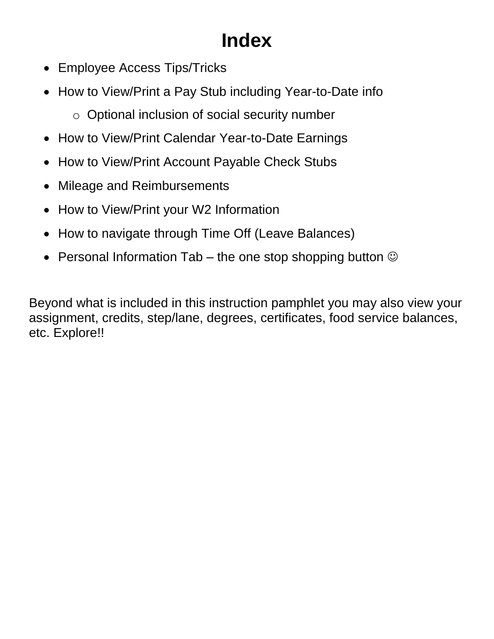# **Index**

- Employee Access Tips/Tricks
- How to View/Print a Pay Stub including Year-to-Date info
	- o Optional inclusion of social security number
- How to View/Print Calendar Year-to-Date Earnings
- How to View/Print Account Payable Check Stubs
- Mileage and Reimbursements
- How to View/Print your W2 Information
- How to navigate through Time Off (Leave Balances)
- Personal Information Tab the one stop shopping button  $\odot$

Beyond what is included in this instruction pamphlet you may also view your assignment, credits, step/lane, degrees, certificates, food service balances, etc. Explore!!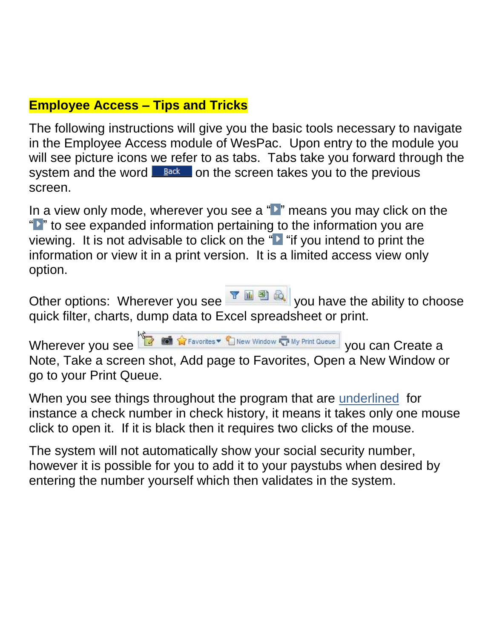### **Employee Access – Tips and Tricks**

The following instructions will give you the basic tools necessary to navigate in the Employee Access module of WesPac. Upon entry to the module you will see picture icons we refer to as tabs. Tabs take you forward through the system and the word  $\Box$  Back on the screen takes you to the previous screen.

In a view only mode, wherever you see a "" means you may click on the "If to see expanded information pertaining to the information you are viewing. It is not advisable to click on the " $\blacktriangleright$  "if you intend to print the information or view it in a print version. It is a limited access view only option.

Other options: Wherever you see **YOU RE** you have the ability to choose quick filter, charts, dump data to Excel spreadsheet or print.

Wherever you see **You are a set of the Contract of the Window of My Print Queue** you can Create a

Note, Take a screen shot, Add page to Favorites, Open a New Window or go to your Print Queue.

When you see things throughout the program that are underlined for instance a check number in check history, it means it takes only one mouse click to open it. If it is black then it requires two clicks of the mouse.

The system will not automatically show your social security number, however it is possible for you to add it to your paystubs when desired by entering the number yourself which then validates in the system.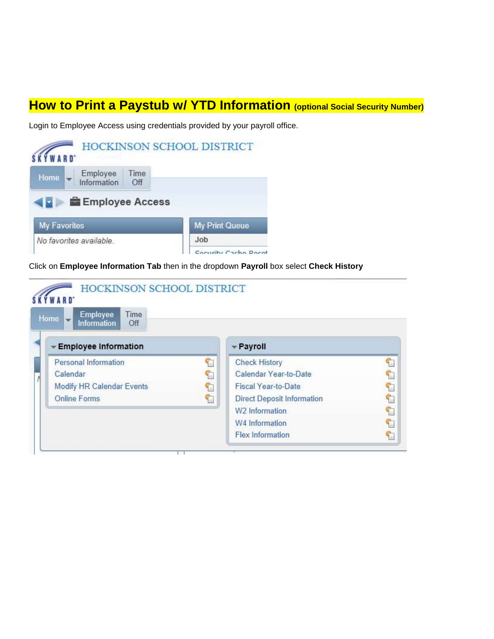#### **How to Print a Paystub w/ YTD Information (optional Social Security Number)**

Login to Employee Access using credentials provided by your payroll office.



Click on **Employee Information Tab** then in the dropdown **Payroll** box select **Check History** 

| ARD <sup>*</sup><br>Employee<br>Time<br><b>Home</b><br>÷<br><b>Information</b><br>Off |    |                                   |   |
|---------------------------------------------------------------------------------------|----|-----------------------------------|---|
| Employee Information                                                                  |    | - Payroll                         |   |
| Personal Information                                                                  | Ð  | <b>Check History</b>              |   |
| Calendar                                                                              | ç. | Calendar Year-to-Date             |   |
| Modify HR Calendar Events                                                             | t  | <b>Fiscal Year-to-Date</b>        | ¢ |
| <b>Online Forms</b>                                                                   | ٢  | <b>Direct Deposit Information</b> | t |
|                                                                                       |    | W2 Information                    | ٢ |
|                                                                                       |    | W4 Information                    | ¢ |
|                                                                                       |    | <b>Flex Information</b>           | ٩ |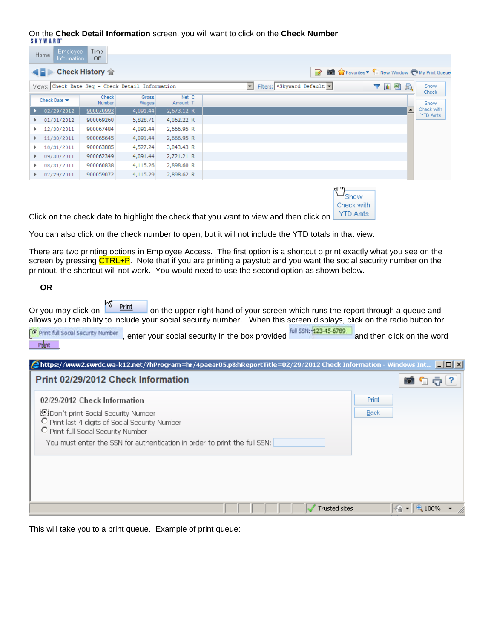## On the **Check Detail Information** screen, you will want to click on the **Check Number**

| Favorites v New Window T My Print Queue<br>R<br>Fiters: * Skyward Default<br>了西图及<br>Show<br>▾<br>Check<br>Show<br>Check with<br>$\overline{\phantom{a}}$ |
|-----------------------------------------------------------------------------------------------------------------------------------------------------------|
|                                                                                                                                                           |
|                                                                                                                                                           |
|                                                                                                                                                           |
|                                                                                                                                                           |
| YTD Amts                                                                                                                                                  |
|                                                                                                                                                           |
|                                                                                                                                                           |
|                                                                                                                                                           |
|                                                                                                                                                           |
|                                                                                                                                                           |
|                                                                                                                                                           |
|                                                                                                                                                           |

| Show       |
|------------|
| Check with |
| YTD Amts   |
|            |

Click on the check date to highlight the check that you want to view and then click or

You can also click on the check number to open, but it will not include the YTD totals in that view.

There are two printing options in Employee Access. The first option is a shortcut o print exactly what you see on the screen by pressing CTRL+P. Note that if you are printing a paystub and you want the social security number on the printout, the shortcut will not work. You would need to use the second option as shown below.

#### **OR**

Or you may click on  $\frac{1}{\sqrt{2}}$  Print on the upper right hand of your screen which runs the report through a queue and allows you the ability to include your social security number. When this screen displays, click on the radio button for

| <b>C</b> Print full Social Security Number | , enter your social security in the box provided | full SSN: 123-45-6789 | and then click on the word |
|--------------------------------------------|--------------------------------------------------|-----------------------|----------------------------|
| Print                                      |                                                  |                       |                            |

| Chttps://www2.swrdc.wa-k12.net/?hProgram=hr/4paear05.p&hReportTitle=02/29/2012 Check Information - Windows Int  ■□× |             |                              |  |
|---------------------------------------------------------------------------------------------------------------------|-------------|------------------------------|--|
| Print 02/29/2012 Check Information                                                                                  |             |                              |  |
| 02/29/2012 Check Information                                                                                        | Print.      |                              |  |
| Don't print Social Security Number                                                                                  | <b>Back</b> |                              |  |
| O Print last 4 digits of Social Security Number<br>O Print full Social Security Number                              |             |                              |  |
| You must enter the SSN for authentication in order to print the full SSN:                                           |             |                              |  |
|                                                                                                                     |             |                              |  |
|                                                                                                                     |             |                              |  |
|                                                                                                                     |             |                              |  |
|                                                                                                                     |             |                              |  |
| <b>Trusted sites</b>                                                                                                |             | $\sqrt{a}$ - $\sqrt{a}$ 100% |  |

This will take you to a print queue. Example of print queue: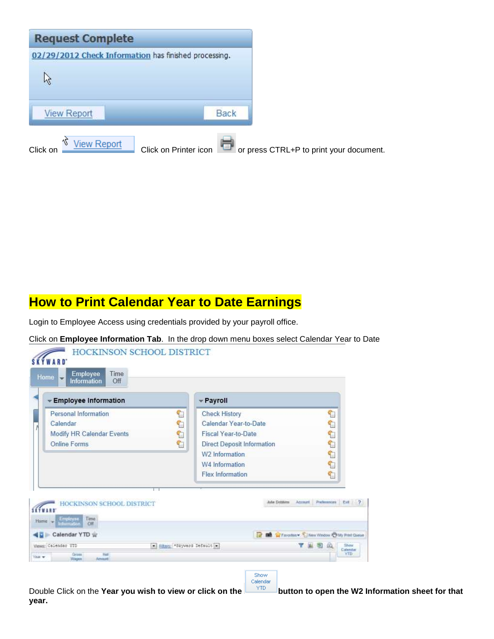

#### **How to Print Calendar Year to Date Earnings**

Login to Employee Access using credentials provided by your payroll office.

Click on **Employee Information Tab**. In the drop down menu boxes select Calendar Year to Date



Calendar

Double Click on the **Year you wish to view or click on the <b>button** to open the W2 Information sheet for that **year.**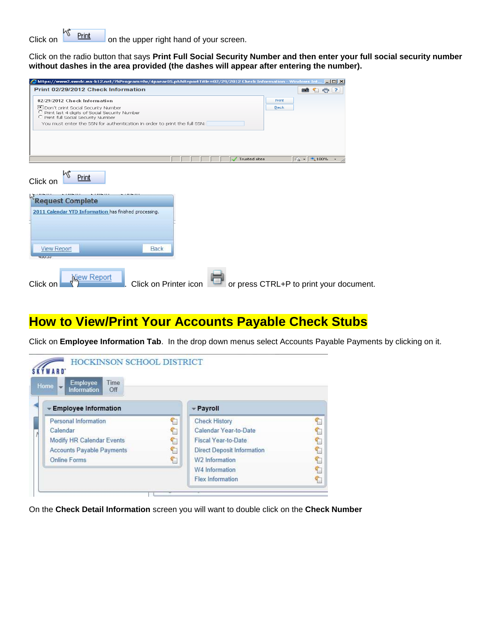Click on  $\frac{1}{\sqrt{2}}$  Print on the upper right hand of your screen.

Click on the radio button that says **Print Full Social Security Number and then enter your full social security number without dashes in the area provided (the dashes will appear after entering the number).**

| Print 02/29/2012 Check Information<br><b>Mitch</b><br>02/29/2012 Check Information<br>Print<br><b>Com't print Social Security Number</b><br><b>Back</b><br>C Print last 4 digits of Social Security Number<br>C Print full Social Security Number<br>You must enter the SSN for authentication in order to print the full SSN:<br>$\frac{1}{2}$ $\frac{1}{2}$ $\frac{1}{2}$ 100% $\frac{1}{2}$<br>Trusted sites<br>Print<br><b>View Report</b><br><b>Back</b><br><b>HUU</b> SUU<br><b>View Report</b> | 2https://www2.swrdc.wa-k12.net/?hProgram=hr/4paear05.p&hReportTitle=02/29/2012 Check Information - Windows Int… |  |  |  |  |
|-------------------------------------------------------------------------------------------------------------------------------------------------------------------------------------------------------------------------------------------------------------------------------------------------------------------------------------------------------------------------------------------------------------------------------------------------------------------------------------------------------|-----------------------------------------------------------------------------------------------------------------|--|--|--|--|
|                                                                                                                                                                                                                                                                                                                                                                                                                                                                                                       |                                                                                                                 |  |  |  |  |
|                                                                                                                                                                                                                                                                                                                                                                                                                                                                                                       |                                                                                                                 |  |  |  |  |
|                                                                                                                                                                                                                                                                                                                                                                                                                                                                                                       |                                                                                                                 |  |  |  |  |
|                                                                                                                                                                                                                                                                                                                                                                                                                                                                                                       |                                                                                                                 |  |  |  |  |
|                                                                                                                                                                                                                                                                                                                                                                                                                                                                                                       |                                                                                                                 |  |  |  |  |
| Click on<br>Request Complete<br>2011 Calendar YTD Information has finished processing.                                                                                                                                                                                                                                                                                                                                                                                                                |                                                                                                                 |  |  |  |  |
|                                                                                                                                                                                                                                                                                                                                                                                                                                                                                                       |                                                                                                                 |  |  |  |  |
|                                                                                                                                                                                                                                                                                                                                                                                                                                                                                                       |                                                                                                                 |  |  |  |  |
|                                                                                                                                                                                                                                                                                                                                                                                                                                                                                                       |                                                                                                                 |  |  |  |  |
|                                                                                                                                                                                                                                                                                                                                                                                                                                                                                                       |                                                                                                                 |  |  |  |  |
|                                                                                                                                                                                                                                                                                                                                                                                                                                                                                                       |                                                                                                                 |  |  |  |  |
| or press CTRL+P to print your document.<br>Click on Printer icon                                                                                                                                                                                                                                                                                                                                                                                                                                      | Click on                                                                                                        |  |  |  |  |

#### **How to View/Print Your Accounts Payable Check Stubs**

Click on **Employee Information Tab**. In the drop down menus select Accounts Payable Payments by clicking on it.



On the **Check Detail Information** screen you will want to double click on the **Check Number**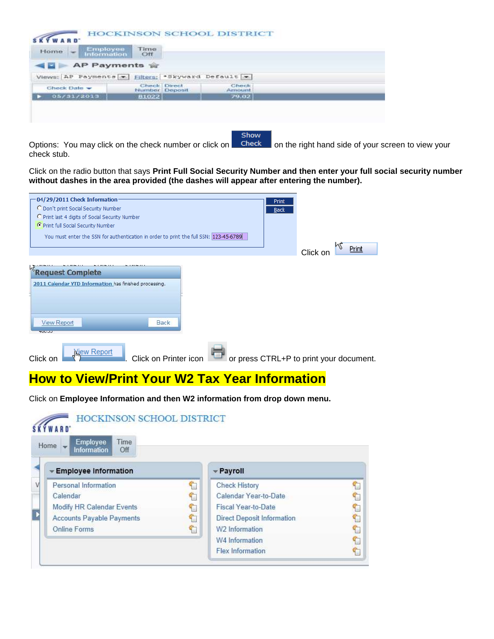| Employee<br>Information<br>Home $\vert$ $-$     | Time<br>Off  |                |                 |
|-------------------------------------------------|--------------|----------------|-----------------|
| AP Payments                                     |              |                |                 |
| Views; AP Payments - Hiters; 'Skyward Default - |              |                |                 |
| Check Date -                                    | Check Direct | Number Deposit | Check<br>Amount |
| 05/31/2013                                      | 81022        |                | 79.02           |

Options: You may click on the check number or click on **Check** on the right hand side of your screen to view your check stub.

Click on the radio button that says **Print Full Social Security Number and then enter your full social security number**  without dashes in the area provided (the dashes will appear after entering the number).

Show

| -04/29/2011 Check Information<br>Print<br>O Don't print Social Security Number<br><b>Back</b><br>C Print last 4 digits of Social Security Number<br>C Print full Social Security Number<br>You must enter the SSN for authentication in order to print the full SSN: 123-45-6789 | k۵<br>Print<br>Click on                 |
|----------------------------------------------------------------------------------------------------------------------------------------------------------------------------------------------------------------------------------------------------------------------------------|-----------------------------------------|
| Request Complete<br>2011 Calendar YTD Information has finished processing.<br><b>View Report</b><br><b>Back</b>                                                                                                                                                                  |                                         |
| <b>HUURUS</b><br><b>Yiew Report</b><br>Click on Printer icon<br>Click on                                                                                                                                                                                                         | or press CTRL+P to print your document. |

#### **How to View/Print Your W2 Tax Year Information**

Click on **Employee Information and then W2 information from drop down menu.**

| Employee<br>Time<br>Home<br><b>Information</b><br>Off |          |                                   |  |
|-------------------------------------------------------|----------|-----------------------------------|--|
| <b>Employee Information</b>                           |          | - Payroll                         |  |
| Personal Information                                  | <b>T</b> | <b>Check History</b>              |  |
| Calendar                                              |          | Calendar Year-to-Date             |  |
| Modify HR Calendar Events                             | T.       | Fiscal Year-to-Date               |  |
| <b>Accounts Payable Payments</b>                      |          | <b>Direct Deposit Information</b> |  |
| <b>Online Forms</b>                                   | ٢        | W2 Information                    |  |
|                                                       |          | W4 Information                    |  |
|                                                       |          | <b>Flex Information</b>           |  |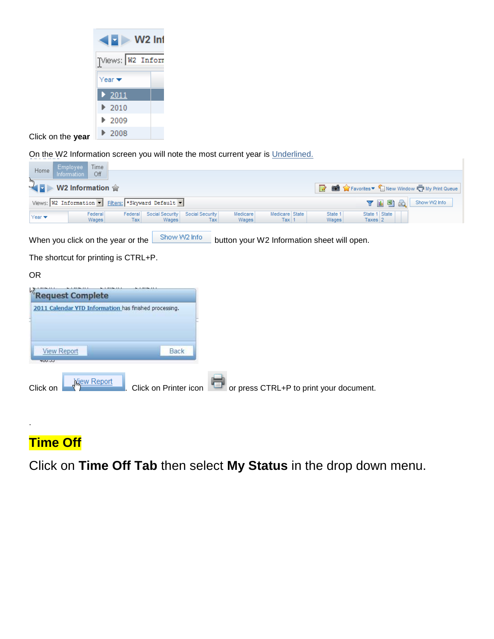| <b>W2</b> Inf              |  |
|----------------------------|--|
| Views: W2 Inform           |  |
| Year ❤                     |  |
| 2011                       |  |
| $\blacktriangleright$ 2010 |  |
| ▶ 2009                     |  |
| ▶ 2008                     |  |

Click on the **year**

On the W2 Information screen you will note the most current year is Underlined.

| <b>Employee</b><br>Time<br>Home                                                                                                                                     |                                                                                                                                                                                                                                           |
|---------------------------------------------------------------------------------------------------------------------------------------------------------------------|-------------------------------------------------------------------------------------------------------------------------------------------------------------------------------------------------------------------------------------------|
| Off<br><b>Information</b><br>m                                                                                                                                      |                                                                                                                                                                                                                                           |
| W2 Information $\hat{\mathbb{F}}$<br>÷                                                                                                                              | <b>The Second Second Second Second Second Second Second Second Second Second Second Second Second Second Second Second Second Second Second Second Second Second Second Second Second Second Second Second Second Second Second </b><br>Ø |
| Views: W2 Information   Fiters: *Skyward Default                                                                                                                    | Show W2 Info<br>山魈<br>Υ<br>C                                                                                                                                                                                                              |
| Medicare State<br>Social Security<br>Social Security<br>Medicare<br>Federal<br>Federal<br>Year $\blacktriangledown$<br>Tax<br>Wages<br>Wages<br>Tax<br>Tax<br>Wages | State 1 State<br>State 1<br>Wages<br>Taxes $2$                                                                                                                                                                                            |
| Show W2 Info<br>When you click on the year or the<br>button your W2 Information sheet will open.                                                                    |                                                                                                                                                                                                                                           |
| The shortcut for printing is CTRL+P.                                                                                                                                |                                                                                                                                                                                                                                           |
| OR.                                                                                                                                                                 |                                                                                                                                                                                                                                           |
| Request Complete                                                                                                                                                    |                                                                                                                                                                                                                                           |
| 2011 Calendar YTD Information has finished processing.                                                                                                              |                                                                                                                                                                                                                                           |
|                                                                                                                                                                     |                                                                                                                                                                                                                                           |
| <b>View Report</b><br>Back<br><b>HUU</b> SUU                                                                                                                        |                                                                                                                                                                                                                                           |

 $\mathcal{E}$ 

| Click on | <b>Niew Report</b> | Click on Printer icon $\Box$ or press CTRL+P to print your document. |
|----------|--------------------|----------------------------------------------------------------------|
|          |                    |                                                                      |

## **Time Off**

.

Click on **Time Off Tab** then select **My Status** in the drop down menu.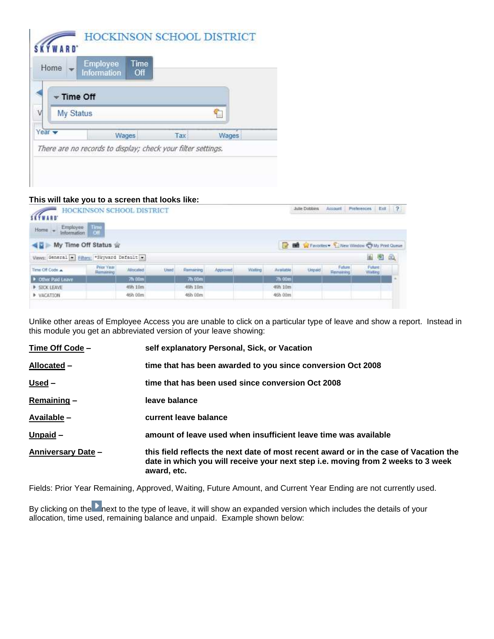| Home                      | <b>Employee</b><br><b>Information</b> | Time<br>Off |     |       |  |  |  |  |
|---------------------------|---------------------------------------|-------------|-----|-------|--|--|--|--|
| Time Off                  |                                       |             |     |       |  |  |  |  |
|                           | My Status                             |             |     |       |  |  |  |  |
| Year $\blacktriangledown$ |                                       | Wages       | Tax | Wages |  |  |  |  |

#### **This will take you to a screen that looks like:**

| SETWARD<br>Employee This<br>Home <sub>s</sub> | <b>HOCKINSON SCHOOL DISTRICT</b> |          |      |           |          |         |           | Julie Dobbins                                          | Account               | <b>Preferences</b> | Ext                      | $\frac{1}{2}$ |
|-----------------------------------------------|----------------------------------|----------|------|-----------|----------|---------|-----------|--------------------------------------------------------|-----------------------|--------------------|--------------------------|---------------|
| ◀目⊪                                           | My Time Off Status #             |          |      |           |          |         |           | <b>D In W</b> Favorites C New Window C My Print Quirue |                       |                    |                          |               |
| Vews General - Fiters *Skyward Default        |                                  |          |      |           |          |         |           |                                                        |                       |                    | 山西地                      |               |
| Time Off Code                                 | Prior Year<br><b>Bambining</b>   | Alboated | Uned | Formaning | Approved | Walting | Available | Unpaid                                                 | Future.<br>Fiernaming |                    | <b>Future</b><br>Walting |               |
| D Other Paid Leave                            |                                  | 7h 00m   |      | 7h 00m    |          |         | 7h 00m    |                                                        |                       |                    |                          |               |
| <b>E SICK LEAVE</b>                           |                                  | 49h 10m  |      | 49h 10m   |          |         | 49h 10m   |                                                        |                       |                    |                          |               |
| <b>NOTION</b>                                 |                                  | 46h 00m  |      | 46h 00m   |          |         | 46b 00m   |                                                        |                       |                    |                          |               |

Unlike other areas of Employee Access you are unable to click on a particular type of leave and show a report. Instead in this module you get an abbreviated version of your leave showing:

| Time Off Code -           | self explanatory Personal, Sick, or Vacation                                                                                                                                             |
|---------------------------|------------------------------------------------------------------------------------------------------------------------------------------------------------------------------------------|
| Allocated -               | time that has been awarded to you since conversion Oct 2008                                                                                                                              |
| <u>Used</u> –             | time that has been used since conversion Oct 2008                                                                                                                                        |
| Remaining-                | leave balance                                                                                                                                                                            |
| Available -               | current leave balance                                                                                                                                                                    |
| <u>Unpaid</u> -           | amount of leave used when insufficient leave time was available                                                                                                                          |
| <b>Anniversary Date -</b> | this field reflects the next date of most recent award or in the case of Vacation the<br>date in which you will receive your next step i.e. moving from 2 weeks to 3 week<br>award, etc. |

Fields: Prior Year Remaining, Approved, Waiting, Future Amount, and Current Year Ending are not currently used.

By clicking on the next to the type of leave, it will show an expanded version which includes the details of your allocation, time used, remaining balance and unpaid. Example shown below: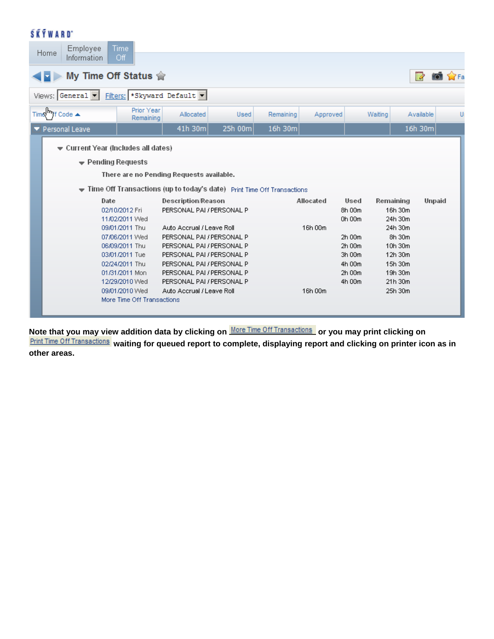#### **SKÝWARD**

| Employee<br>Home<br>Information                        | Time<br>Off                                                            |                           |         |           |           |         |           |               |
|--------------------------------------------------------|------------------------------------------------------------------------|---------------------------|---------|-----------|-----------|---------|-----------|---------------|
|                                                        |                                                                        |                           |         |           |           |         |           |               |
|                                                        | My Time Off Status $\hat{\mathbb{R}}$                                  |                           |         |           |           |         | ø         | 57Fa          |
| Views: General -                                       | Fiters: * Skyward Default                                              |                           |         |           |           |         |           |               |
| Time If Code ▲                                         | Prior Year<br>Remaining                                                | Allocated                 | Used    | Remaining | Approved  | Waiting | Available | U             |
| Personal Leave                                         |                                                                        | 41h 30m                   | 25h 00m | 16h 30m   |           |         | 16h 30m   |               |
| $\blacktriangledown$ Current Year (includes all dates) |                                                                        |                           |         |           |           |         |           |               |
|                                                        |                                                                        |                           |         |           |           |         |           |               |
| $\blacktriangleright$ Pending Requests                 |                                                                        |                           |         |           |           |         |           |               |
|                                                        | There are no Pending Requests available.                               |                           |         |           |           |         |           |               |
|                                                        | Time Off Transactions (up to today's date) Print Time Off Transactions |                           |         |           |           |         |           |               |
| Date                                                   |                                                                        | <b>Description/Reason</b> |         |           | Allocated | Used    | Remaining | <b>Unpaid</b> |
|                                                        | 02/10/2012 Fri                                                         | PERSONAL PAI / PERSONAL P |         |           |           | 8h 00m  | 16h 30m   |               |
|                                                        | 11/02/2011 Wed                                                         |                           |         |           |           | 0h 00m  | 24h 30m   |               |
|                                                        | 09/01/2011 Thu                                                         | Auto Accrual / Leave Roll |         |           | 16h 00m   |         | 24h 30m   |               |
|                                                        | 07/06/2011 Wed                                                         | PERSONAL PAI / PERSONAL P |         |           |           | 2h 00m  | 8h 30m    |               |
|                                                        | 06/09/2011 Thu                                                         | PERSONAL PAI / PERSONAL P |         |           |           | 2h 00m  | 10h 30m   |               |
|                                                        | 03/01/2011 Tue                                                         | PERSONAL PAI / PERSONAL P |         |           |           | 3h 00m  | 12h 30m   |               |
|                                                        | 02/24/2011 Thu                                                         | PERSONAL PAI / PERSONAL P |         |           |           | 4h 00m  | 15h 30m   |               |
|                                                        | 01/31/2011 Mon                                                         | PERSONAL PAI / PERSONAL P |         |           |           | 2h 00m  | 19h 30m   |               |
|                                                        | 12/29/2010 Wed                                                         | PERSONAL PAI / PERSONAL P |         |           |           | 4h 00m  | 21h 30m   |               |
|                                                        | 09/01/2010 Wed                                                         | Auto Accrual / Leave Roll |         |           | 16h 00m   |         | 25h 30m   |               |
|                                                        | More Time Off Transactions                                             |                           |         |           |           |         |           |               |
|                                                        |                                                                        |                           |         |           |           |         |           |               |

Note that you may view addition data by clicking on **More Time Off Transactions** or you may print clicking on

**Print Time Off Transactions** waiting for queued report to complete, displaying report and clicking on printer icon as in **other areas.**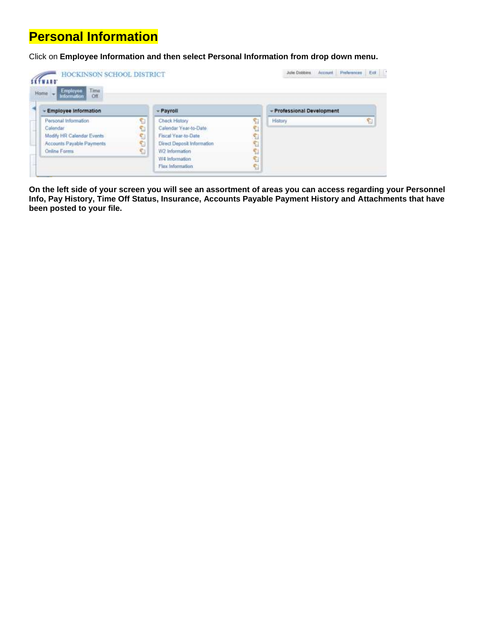### **Personal Information**

Click on **Employee Information and then select Personal Information from drop down menu.**

| Employee<br>Home<br>Time                     |    |                            |   |                            |   |
|----------------------------------------------|----|----------------------------|---|----------------------------|---|
| Off<br>Information<br>- Employee Information |    | - Payroll                  |   | - Professional Development |   |
| Personal Information                         | S  | Check History              |   | <b>History</b>             | C |
| Calendar                                     | Ð  | Calendar Year-to-Date      |   |                            |   |
| Modify HR Calendar Events                    | C. | Fiscal Year-to-Date        | 名 |                            |   |
| Accounts Payable Payments                    | t  | Direct Deposit Information | 临 |                            |   |
| Online Forms                                 | C. | W2 Information             |   |                            |   |
|                                              |    | W4 Information             |   |                            |   |
|                                              |    | Flex Information           |   |                            |   |

**On the left side of your screen you will see an assortment of areas you can access regarding your Personnel Info, Pay History, Time Off Status, Insurance, Accounts Payable Payment History and Attachments that have been posted to your file.**